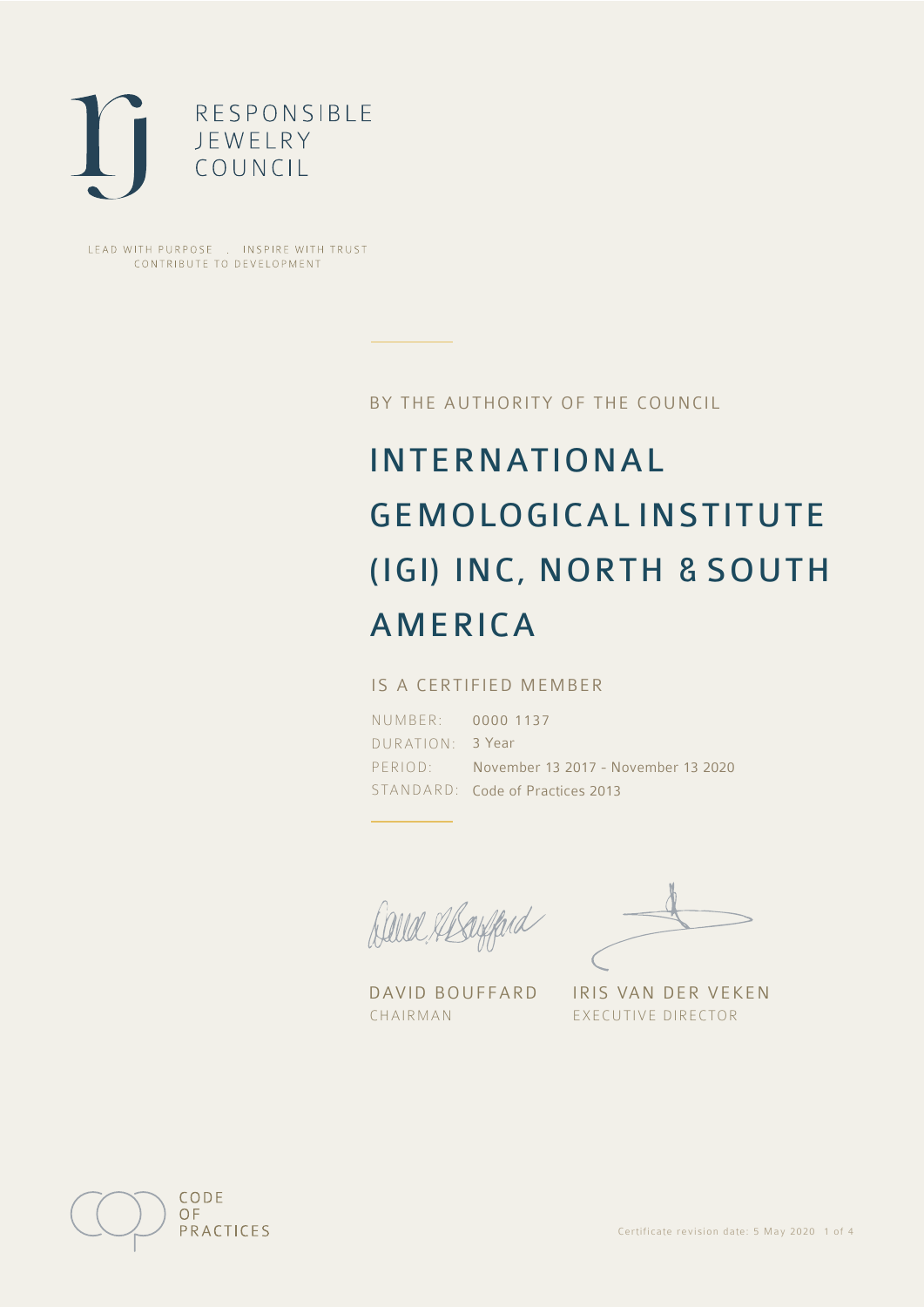

LEAD WITH PURPOSE . INSPIRE WITH TRUST CONTRIBUTE TO DEVELOPMENT

BY THE AUTHORITY OF THE COUNCIL

# INTERNATIONAL GEMOLOGICAL INSTITUTE (IGI) INC, NORTH & SOUTH AMERICA

### IS A CERTIFIED MEMBER

NUMBER: 0000 1137 DURATION: 3 Year PERIOD: STANDARD: Code of Practices 2013November 13 2017 - November 13 2020

Balla Mayford

CHAIRMAN EXECUTIVE DIRECTOR

DAVID BOUFFARD IRIS VAN DER VEKEN

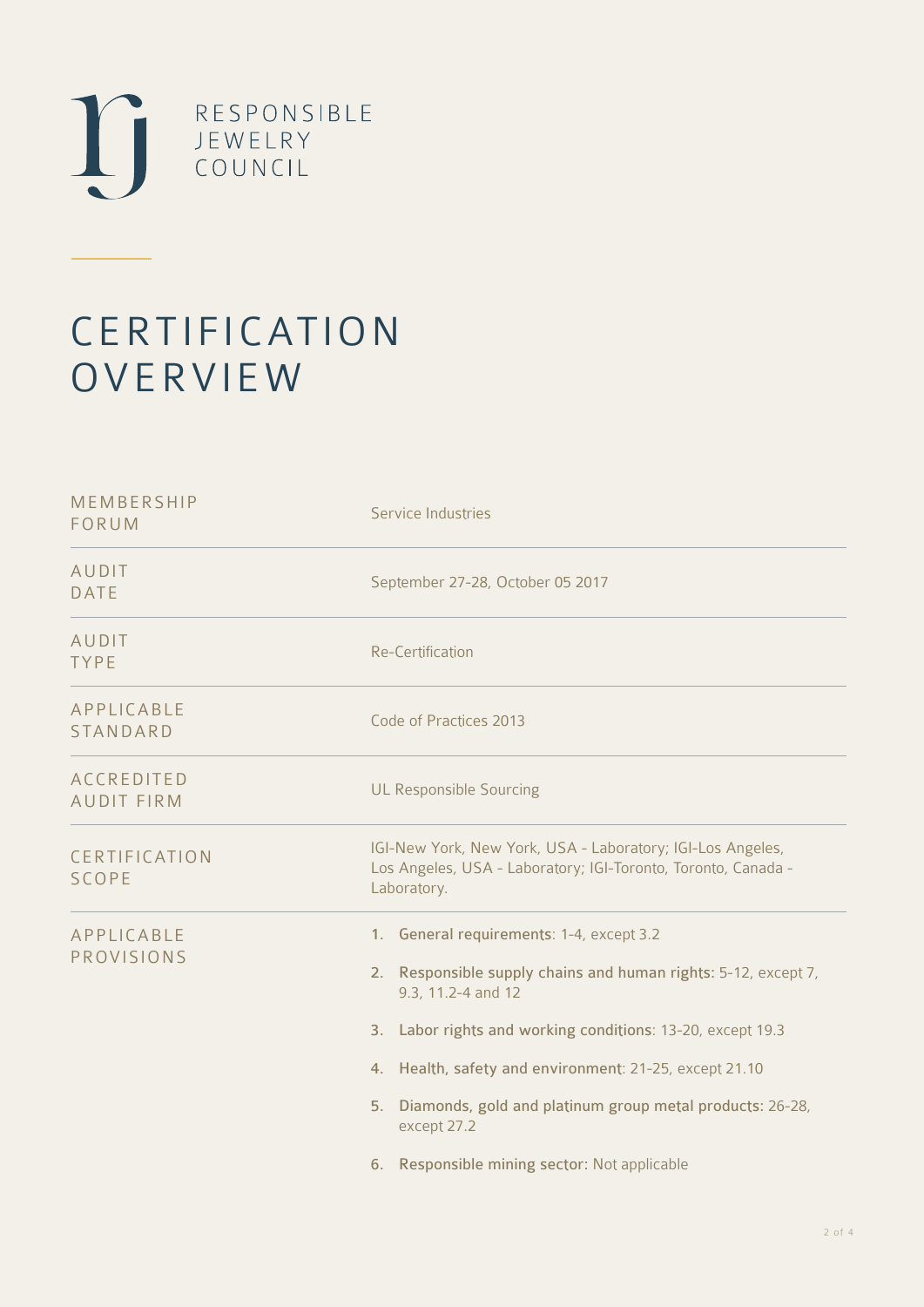

## CERTIFICATION **OVERVIEW**

| <b>MEMBERSHIP</b><br><b>FORUM</b> | Service Industries                                                                                                                                                                                                                                                                                                                                                                     |
|-----------------------------------|----------------------------------------------------------------------------------------------------------------------------------------------------------------------------------------------------------------------------------------------------------------------------------------------------------------------------------------------------------------------------------------|
| AUDIT<br>DATE                     | September 27-28, October 05 2017                                                                                                                                                                                                                                                                                                                                                       |
| <b>AUDIT</b><br><b>TYPE</b>       | Re-Certification                                                                                                                                                                                                                                                                                                                                                                       |
| APPLICABLE<br><b>STANDARD</b>     | Code of Practices 2013                                                                                                                                                                                                                                                                                                                                                                 |
| ACCREDITED<br><b>AUDIT FIRM</b>   | <b>UL Responsible Sourcing</b>                                                                                                                                                                                                                                                                                                                                                         |
| CERTIFICATION<br><b>SCOPE</b>     | IGI-New York, New York, USA - Laboratory; IGI-Los Angeles,<br>Los Angeles, USA - Laboratory; IGI-Toronto, Toronto, Canada -<br>Laboratory.                                                                                                                                                                                                                                             |
| APPLICABLE<br>PROVISIONS          | 1. General requirements: 1-4, except 3.2<br>2. Responsible supply chains and human rights: 5-12, except 7,<br>9.3, 11.2-4 and 12<br>3. Labor rights and working conditions: 13-20, except 19.3<br>4. Health, safety and environment: 21-25, except 21.10<br>5. Diamonds, gold and platinum group metal products: 26-28,<br>except 27.2<br>6. Responsible mining sector: Not applicable |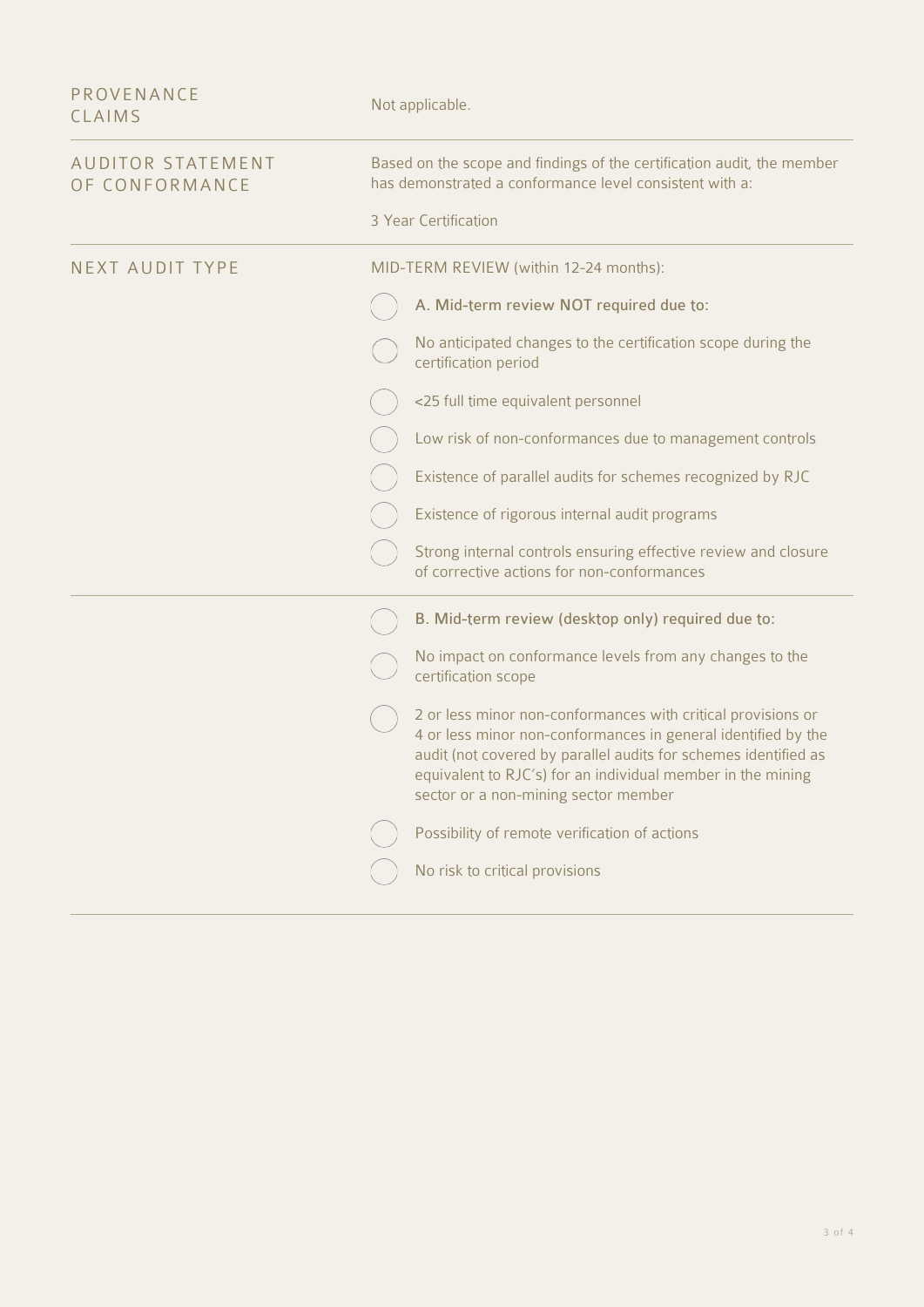| PROVENANCE<br>CLAIMS                | Not applicable.                                                                                                                                                                                                                                                                                         |
|-------------------------------------|---------------------------------------------------------------------------------------------------------------------------------------------------------------------------------------------------------------------------------------------------------------------------------------------------------|
| AUDITOR STATEMENT<br>OF CONFORMANCE | Based on the scope and findings of the certification audit, the member<br>has demonstrated a conformance level consistent with a:                                                                                                                                                                       |
|                                     | 3 Year Certification                                                                                                                                                                                                                                                                                    |
| NEXT AUDIT TYPE                     | MID-TERM REVIEW (within 12-24 months):                                                                                                                                                                                                                                                                  |
|                                     | A. Mid-term review NOT required due to:                                                                                                                                                                                                                                                                 |
|                                     | No anticipated changes to the certification scope during the<br>certification period                                                                                                                                                                                                                    |
|                                     | <25 full time equivalent personnel                                                                                                                                                                                                                                                                      |
|                                     | Low risk of non-conformances due to management controls                                                                                                                                                                                                                                                 |
|                                     | Existence of parallel audits for schemes recognized by RJC                                                                                                                                                                                                                                              |
|                                     | Existence of rigorous internal audit programs                                                                                                                                                                                                                                                           |
|                                     | Strong internal controls ensuring effective review and closure<br>of corrective actions for non-conformances                                                                                                                                                                                            |
|                                     | B. Mid-term review (desktop only) required due to:                                                                                                                                                                                                                                                      |
|                                     | No impact on conformance levels from any changes to the<br>certification scope                                                                                                                                                                                                                          |
|                                     | 2 or less minor non-conformances with critical provisions or<br>4 or less minor non-conformances in general identified by the<br>audit (not covered by parallel audits for schemes identified as<br>equivalent to RJC's) for an individual member in the mining<br>sector or a non-mining sector member |
|                                     | Possibility of remote verification of actions                                                                                                                                                                                                                                                           |
|                                     | No risk to critical provisions                                                                                                                                                                                                                                                                          |